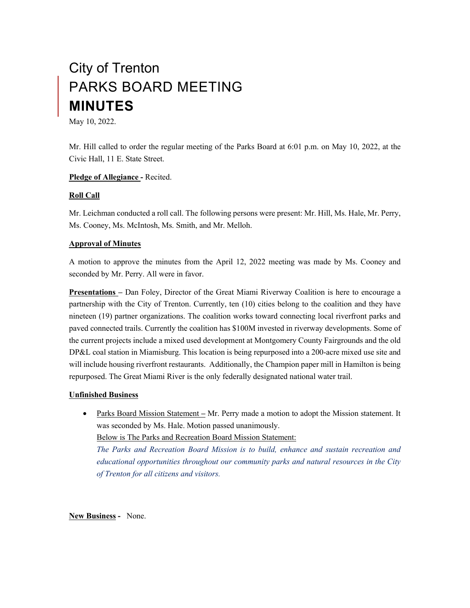# City of Trenton PARKS BOARD MEETING **MINUTES**

May 10, 2022.

Mr. Hill called to order the regular meeting of the Parks Board at 6:01 p.m. on May 10, 2022, at the Civic Hall, 11 E. State Street.

## **Pledge of Allegiance -** Recited.

## **Roll Call**

Mr. Leichman conducted a roll call. The following persons were present: Mr. Hill, Ms. Hale, Mr. Perry, Ms. Cooney, Ms. McIntosh, Ms. Smith, and Mr. Melloh.

## **Approval of Minutes**

A motion to approve the minutes from the April 12, 2022 meeting was made by Ms. Cooney and seconded by Mr. Perry. All were in favor.

**Presentations –** Dan Foley, Director of the Great Miami Riverway Coalition is here to encourage a partnership with the City of Trenton. Currently, ten (10) cities belong to the coalition and they have nineteen (19) partner organizations. The coalition works toward connecting local riverfront parks and paved connected trails. Currently the coalition has \$100M invested in riverway developments. Some of the current projects include a mixed used development at Montgomery County Fairgrounds and the old DP&L coal station in Miamisburg. This location is being repurposed into a 200-acre mixed use site and will include housing riverfront restaurants. Additionally, the Champion paper mill in Hamilton is being repurposed. The Great Miami River is the only federally designated national water trail.

#### **Unfinished Business**

• Parks Board Mission Statement – Mr. Perry made a motion to adopt the Mission statement. It was seconded by Ms. Hale. Motion passed unanimously. Below is The Parks and Recreation Board Mission Statement:

*The Parks and Recreation Board Mission is to build, enhance and sustain recreation and educational opportunities throughout our community parks and natural resources in the City of Trenton for all citizens and visitors.* 

**New Business -** None.